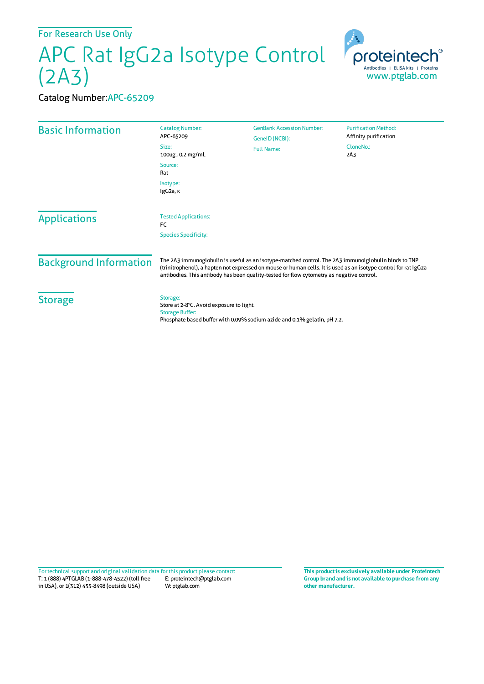For Research Use Only

## APC Rat IgG2a Isotype Control (2A3)



## Catalog Number:APC-65209

| <b>Basic Information</b>      | <b>Catalog Number:</b><br>APC-65209<br>Size:<br>100ug, 0.2 mg/mL<br>Source:                                                                                                                                                                                                                                           | <b>GenBank Accession Number:</b><br>GeneID (NCBI):<br><b>Full Name:</b>  | <b>Purification Method:</b><br>Affinity purification<br>CloneNo.:<br>2A <sub>3</sub> |
|-------------------------------|-----------------------------------------------------------------------------------------------------------------------------------------------------------------------------------------------------------------------------------------------------------------------------------------------------------------------|--------------------------------------------------------------------------|--------------------------------------------------------------------------------------|
|                               | Rat<br>Isotype:<br>IgG2a, K                                                                                                                                                                                                                                                                                           |                                                                          |                                                                                      |
| <b>Applications</b>           | <b>Tested Applications:</b><br>FC<br><b>Species Specificity:</b>                                                                                                                                                                                                                                                      |                                                                          |                                                                                      |
| <b>Background Information</b> | The 2A3 immunoglobulin is useful as an isotype-matched control. The 2A3 immunolglobulin binds to TNP<br>(trinitrophenol), a hapten not expressed on mouse or human cells. It is used as an isotype control for rat IgG2a<br>antibodies. This antibody has been quality-tested for flow cytometry as negative control. |                                                                          |                                                                                      |
| <b>Storage</b>                | Storage:<br>Store at 2-8°C. Avoid exposure to light.<br><b>Storage Buffer:</b>                                                                                                                                                                                                                                        | Phosphate based buffer with 0.09% sodium azide and 0.1% gelatin, pH 7.2. |                                                                                      |

T: 1 (888) 4PTGLAB (1-888-478-4522) (toll free in USA), or 1(312) 455-8498 (outside USA) E: proteintech@ptglab.com W: ptglab.com Fortechnical support and original validation data forthis product please contact: **This productis exclusively available under Proteintech**

**Group brand and is not available to purchase from any other manufacturer.**